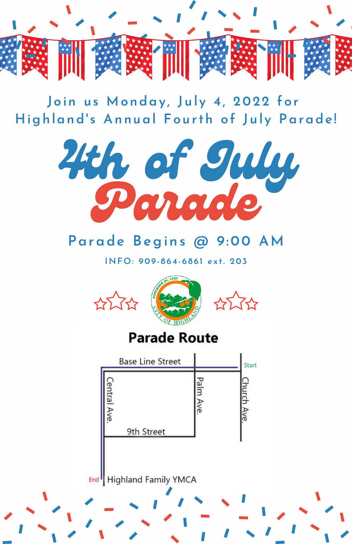

**Join us Monday , Jul y 4, 2022 for Highland' s Annual Fourth of Jul y Parade!**



## **Parade Begins @ 9:00 AM**

**INFO: 909-864-6861 ex t. 203**



End<sup>I</sup> Highland Family YMCA